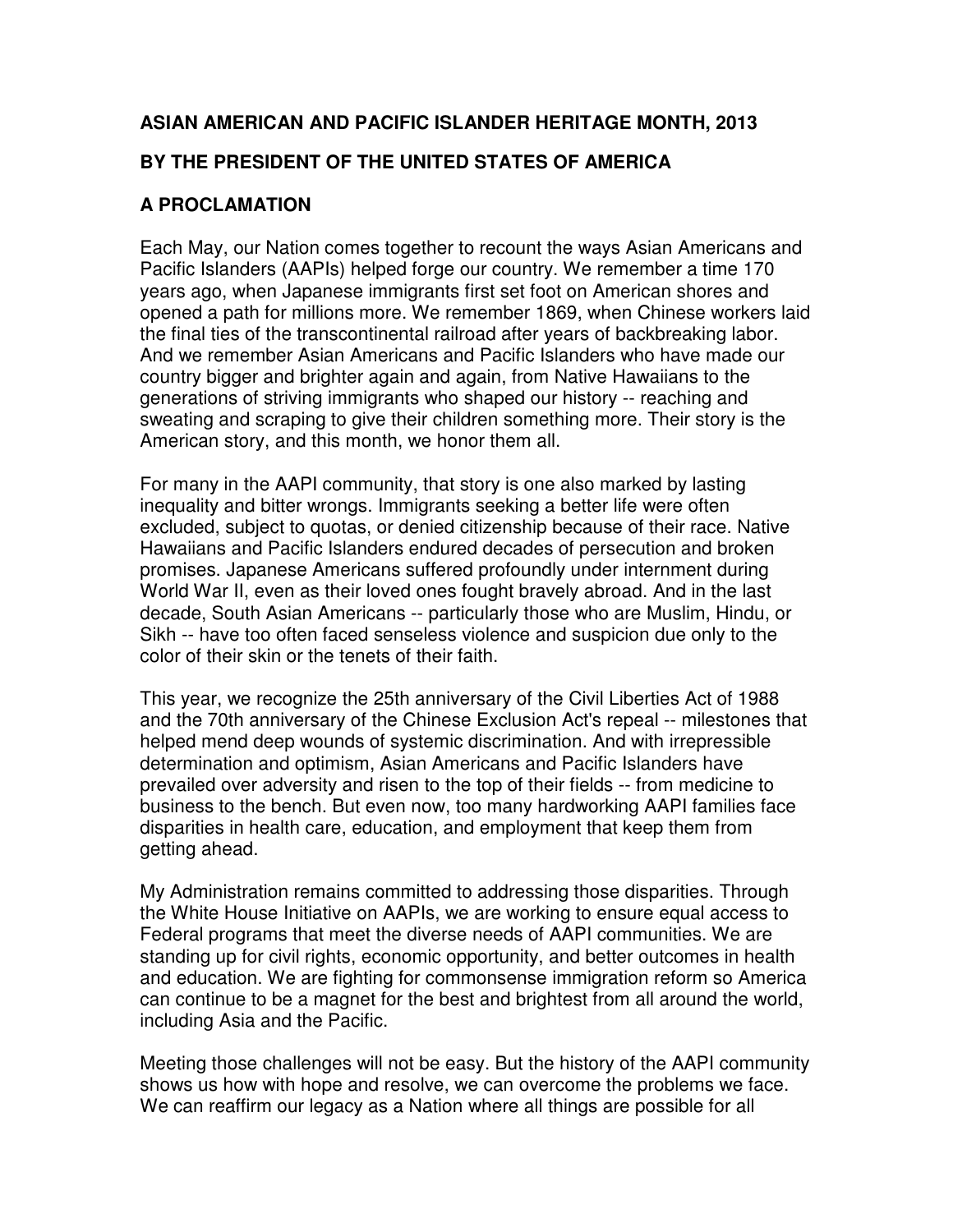## **ASIAN AMERICAN AND PACIFIC ISLANDER HERITAGE MONTH, 2013**

## **BY THE PRESIDENT OF THE UNITED STATES OF AMERICA**

## **A PROCLAMATION**

Each May, our Nation comes together to recount the ways Asian Americans and Pacific Islanders (AAPIs) helped forge our country. We remember a time 170 years ago, when Japanese immigrants first set foot on American shores and opened a path for millions more. We remember 1869, when Chinese workers laid the final ties of the transcontinental railroad after years of backbreaking labor. And we remember Asian Americans and Pacific Islanders who have made our country bigger and brighter again and again, from Native Hawaiians to the generations of striving immigrants who shaped our history -- reaching and sweating and scraping to give their children something more. Their story is the American story, and this month, we honor them all.

For many in the AAPI community, that story is one also marked by lasting inequality and bitter wrongs. Immigrants seeking a better life were often excluded, subject to quotas, or denied citizenship because of their race. Native Hawaiians and Pacific Islanders endured decades of persecution and broken promises. Japanese Americans suffered profoundly under internment during World War II, even as their loved ones fought bravely abroad. And in the last decade, South Asian Americans -- particularly those who are Muslim, Hindu, or Sikh -- have too often faced senseless violence and suspicion due only to the color of their skin or the tenets of their faith.

This year, we recognize the 25th anniversary of the Civil Liberties Act of 1988 and the 70th anniversary of the Chinese Exclusion Act's repeal -- milestones that helped mend deep wounds of systemic discrimination. And with irrepressible determination and optimism, Asian Americans and Pacific Islanders have prevailed over adversity and risen to the top of their fields -- from medicine to business to the bench. But even now, too many hardworking AAPI families face disparities in health care, education, and employment that keep them from getting ahead.

My Administration remains committed to addressing those disparities. Through the White House Initiative on AAPIs, we are working to ensure equal access to Federal programs that meet the diverse needs of AAPI communities. We are standing up for civil rights, economic opportunity, and better outcomes in health and education. We are fighting for commonsense immigration reform so America can continue to be a magnet for the best and brightest from all around the world, including Asia and the Pacific.

Meeting those challenges will not be easy. But the history of the AAPI community shows us how with hope and resolve, we can overcome the problems we face. We can reaffirm our legacy as a Nation where all things are possible for all